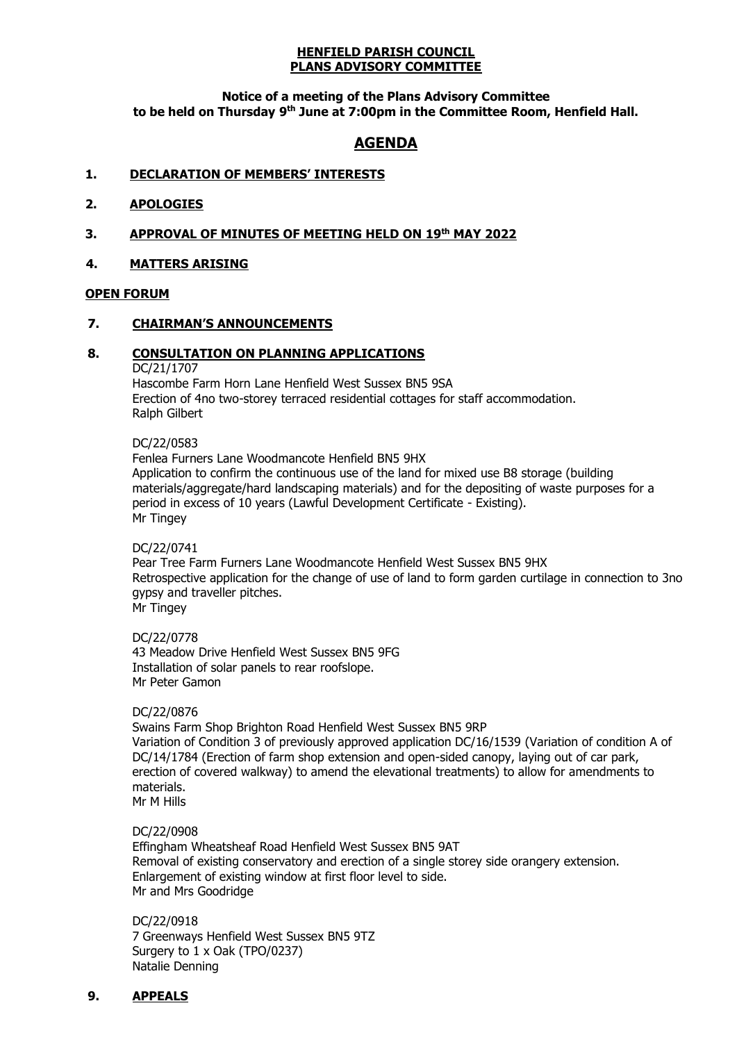#### **HENFIELD PARISH COUNCIL PLANS ADVISORY COMMITTEE**

**Notice of a meeting of the Plans Advisory Committee to be held on Thursday 9 th June at 7:00pm in the Committee Room, Henfield Hall.**

# **AGENDA**

# **1. DECLARATION OF MEMBERS' INTERESTS**

# **2. APOLOGIES**

**3. APPROVAL OF MINUTES OF MEETING HELD ON 19 th MAY 2022**

# **4. MATTERS ARISING**

## **OPEN FORUM**

# **7. CHAIRMAN'S ANNOUNCEMENTS**

# **8. CONSULTATION ON PLANNING APPLICATIONS**

#### DC/21/1707

Hascombe Farm Horn Lane Henfield West Sussex BN5 9SA Erection of 4no two-storey terraced residential cottages for staff accommodation. Ralph Gilbert

## DC/22/0583

Fenlea Furners Lane Woodmancote Henfield BN5 9HX Application to confirm the continuous use of the land for mixed use B8 storage (building materials/aggregate/hard landscaping materials) and for the depositing of waste purposes for a period in excess of 10 years (Lawful Development Certificate - Existing). Mr Tingey

# DC/22/0741

Pear Tree Farm Furners Lane Woodmancote Henfield West Sussex BN5 9HX Retrospective application for the change of use of land to form garden curtilage in connection to 3no gypsy and traveller pitches. Mr Tingey

DC/22/0778 43 Meadow Drive Henfield West Sussex BN5 9FG Installation of solar panels to rear roofslope. Mr Peter Gamon

#### DC/22/0876

Swains Farm Shop Brighton Road Henfield West Sussex BN5 9RP Variation of Condition 3 of previously approved application DC/16/1539 (Variation of condition A of DC/14/1784 (Erection of farm shop extension and open-sided canopy, laying out of car park, erection of covered walkway) to amend the elevational treatments) to allow for amendments to materials. Mr M Hills

## DC/22/0908

Effingham Wheatsheaf Road Henfield West Sussex BN5 9AT Removal of existing conservatory and erection of a single storey side orangery extension. Enlargement of existing window at first floor level to side. Mr and Mrs Goodridge

#### DC/22/0918

7 Greenways Henfield West Sussex BN5 9TZ Surgery to 1 x Oak (TPO/0237) Natalie Denning

## **9. APPEALS**